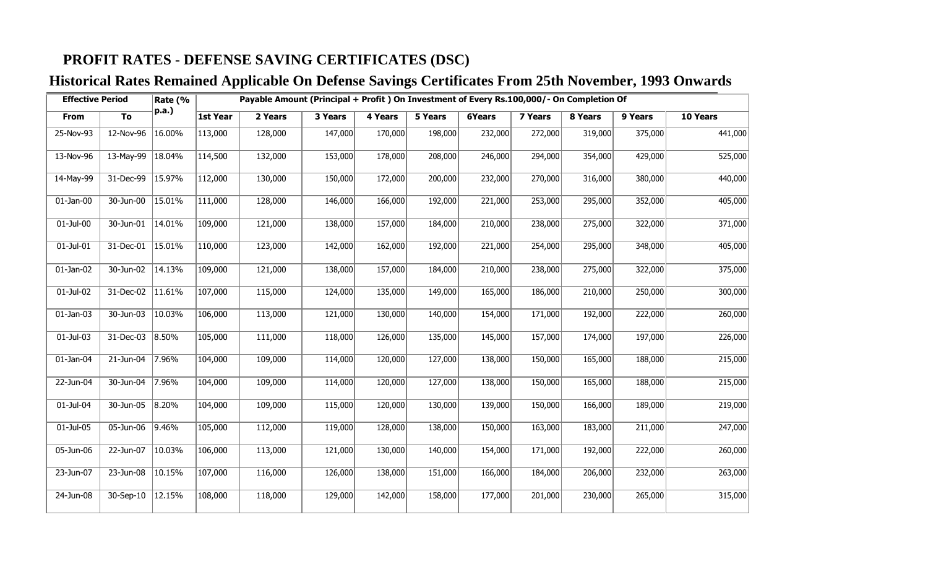## **PROFIT RATES - DEFENSE SAVING CERTIFICATES (DSC)**

## **Historical Rates Remained Applicable On Defense Savings Certificates From 25th November, 1993 Onwards**

| <b>Effective Period</b> |                         | Rate (%         | Payable Amount (Principal + Profit) On Investment of Every Rs.100,000/- On Completion Of |         |         |         |         |               |         |         |         |          |
|-------------------------|-------------------------|-----------------|------------------------------------------------------------------------------------------|---------|---------|---------|---------|---------------|---------|---------|---------|----------|
| From                    | To                      | p.a.)           | 1st Year                                                                                 | 2 Years | 3 Years | 4 Years | 5 Years | <b>6Years</b> | 7 Years | 8 Years | 9 Years | 10 Years |
| 25-Nov-93               | 12-Nov-96               | 16.00%          | 113,000                                                                                  | 128,000 | 147,000 | 170,000 | 198,000 | 232,000       | 272,000 | 319,000 | 375,000 | 441,000  |
| 13-Nov-96               | 13-May-99               | 18.04%          | 114,500                                                                                  | 132,000 | 153,000 | 178,000 | 208,000 | 246,000       | 294,000 | 354,000 | 429,000 | 525,000  |
| 14-May-99               | 31-Dec-99               | 15.97%          | 112,000                                                                                  | 130,000 | 150,000 | 172,000 | 200,000 | 232,000       | 270,000 | 316,000 | 380,000 | 440,000  |
| $01$ -Jan- $00$         | 30-Jun-00               | 15.01%          | 111,000                                                                                  | 128,000 | 146,000 | 166,000 | 192,000 | 221,000       | 253,000 | 295,000 | 352,000 | 405,000  |
| $01$ -Jul-00            | 30-Jun-01               | 14.01%          | 109,000                                                                                  | 121,000 | 138,000 | 157,000 | 184,000 | 210,000       | 238,000 | 275,000 | 322,000 | 371,000  |
| 01-Jul-01               | 31-Dec-01               | 15.01%          | 110,000                                                                                  | 123,000 | 142,000 | 162,000 | 192,000 | 221,000       | 254,000 | 295,000 | 348,000 | 405,000  |
| $01$ -Jan-02            | 30-Jun-02               | 14.13%          | 109,000                                                                                  | 121,000 | 138,000 | 157,000 | 184,000 | 210,000       | 238,000 | 275,000 | 322,000 | 375,000  |
| 01-Jul-02               | 31-Dec-02               | 11.61%          | 107,000                                                                                  | 115,000 | 124,000 | 135,000 | 149,000 | 165,000       | 186,000 | 210,000 | 250,000 | 300,000  |
| $01$ -Jan-03            | 30-Jun-03               | 10.03%          | 106,000                                                                                  | 113,000 | 121,000 | 130,000 | 140,000 | 154,000       | 171,000 | 192,000 | 222,000 | 260,000  |
| 01-Jul-03               | 31-Dec-03               | $\sqrt{8.50\%}$ | 105,000                                                                                  | 111,000 | 118,000 | 126,000 | 135,000 | 145,000       | 157,000 | 174,000 | 197,000 | 226,000  |
| $01$ -Jan-04            | 21-Jun-04               | 7.96%           | 104,000                                                                                  | 109,000 | 114,000 | 120,000 | 127,000 | 138,000       | 150,000 | 165,000 | 188,000 | 215,000  |
| 22-Jun-04               | 30-Jun-04               | 7.96%           | 104,000                                                                                  | 109,000 | 114,000 | 120,000 | 127,000 | 138,000       | 150,000 | 165,000 | 188,000 | 215,000  |
| 01-Jul-04               | 30-Jun-05               | 8.20%           | 104,000                                                                                  | 109,000 | 115,000 | 120,000 | 130,000 | 139,000       | 150,000 | 166,000 | 189,000 | 219,000  |
| 01-Jul-05               | 05-Jun-06               | $ 9.46\%$       | 105,000                                                                                  | 112,000 | 119,000 | 128,000 | 138,000 | 150,000       | 163,000 | 183,000 | 211,000 | 247,000  |
| 05-Jun-06               | $\overline{22}$ -Jun-07 | 10.03%          | 106,000                                                                                  | 113,000 | 121,000 | 130,000 | 140,000 | 154,000       | 171,000 | 192,000 | 222,000 | 260,000  |
| 23-Jun-07               | 23-Jun-08               | 10.15%          | 107,000                                                                                  | 116,000 | 126,000 | 138,000 | 151,000 | 166,000       | 184,000 | 206,000 | 232,000 | 263,000  |
| 24-Jun-08               | 30-Sep-10               | 12.15%          | 108,000                                                                                  | 118,000 | 129,000 | 142,000 | 158,000 | 177,000       | 201,000 | 230,000 | 265,000 | 315,000  |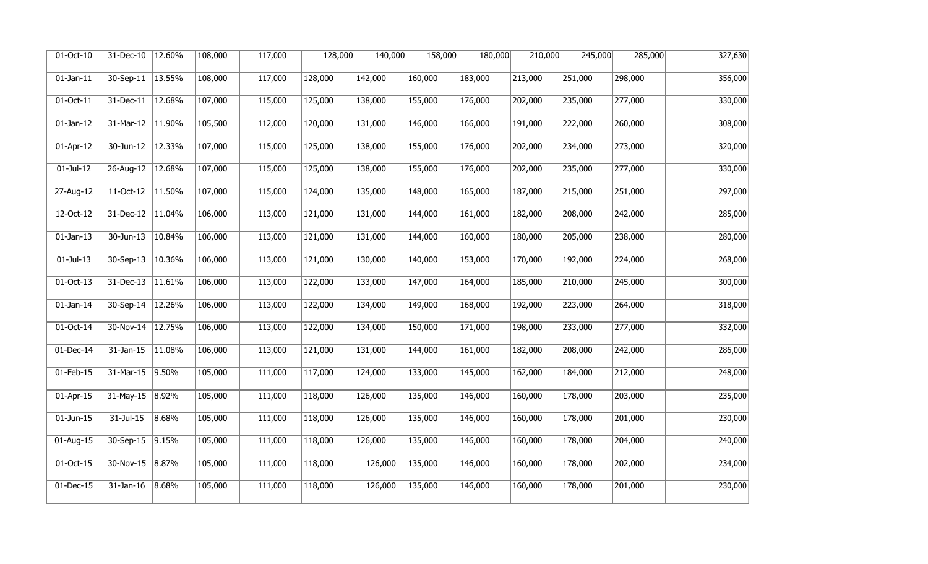| $01-Oct-10$  | 31-Dec-10       | 12.60% | 108,000 | 117,000 | 128,000 | 140,000 | 158,000 | 180,000 | 210,000              | 245,000 | 285,000 | 327,630 |
|--------------|-----------------|--------|---------|---------|---------|---------|---------|---------|----------------------|---------|---------|---------|
| $01$ -Jan-11 | 30-Sep-11       | 13.55% | 108,000 | 117,000 | 128,000 | 142,000 | 160,000 | 183,000 | 213,000              | 251,000 | 298,000 | 356,000 |
| $01-Oct-11$  | 31-Dec-11       | 12.68% | 107,000 | 115,000 | 125,000 | 138,000 | 155,000 | 176,000 | 202,000              | 235,000 | 277,000 | 330,000 |
| $01$ -Jan-12 | 31-Mar-12       | 11.90% | 105,500 | 112,000 | 120,000 | 131,000 | 146,000 | 166,000 | 191,000              | 222,000 | 260,000 | 308,000 |
| 01-Apr-12    | 30-Jun-12       | 12.33% | 107,000 | 115,000 | 125,000 | 138,000 | 155,000 | 176,000 | 202,000              | 234,000 | 273,000 | 320,000 |
| $01$ -Jul-12 | 26-Aug-12       | 12.68% | 107,000 | 115,000 | 125,000 | 138,000 | 155,000 | 176,000 | 202,000              | 235,000 | 277,000 | 330,000 |
| 27-Aug-12    | 11-Oct-12       | 11.50% | 107,000 | 115,000 | 124,000 | 135,000 | 148,000 | 165,000 | 187,000              | 215,000 | 251,000 | 297,000 |
| 12-Oct-12    | 31-Dec-12       | 11.04% | 106,000 | 113,000 | 121,000 | 131,000 | 144,000 | 161,000 | 182,000              | 208,000 | 242,000 | 285,000 |
| $01$ -Jan-13 | 30-Jun-13       | 10.84% | 106,000 | 113,000 | 121,000 | 131,000 | 144,000 | 160,000 | 180,000              | 205,000 | 238,000 | 280,000 |
| $01$ -Jul-13 | 30-Sep-13       | 10.36% | 106,000 | 113,000 | 121,000 | 130,000 | 140,000 | 153,000 | 170,000              | 192,000 | 224,000 | 268,000 |
| $01-Oct-13$  | $31$ -Dec-13    | 11.61% | 106,000 | 113,000 | 122,000 | 133,000 | 147,000 | 164,000 | 185,000              | 210,000 | 245,000 | 300,000 |
| $01$ -Jan-14 | 30-Sep-14       | 12.26% | 106,000 | 113,000 | 122,000 | 134,000 | 149,000 | 168,000 | 192,000              | 223,000 | 264,000 | 318,000 |
| $01-Oct-14$  | 30-Nov-14       | 12.75% | 106,000 | 113,000 | 122,000 | 134,000 | 150,000 | 171,000 | 198,000              | 233,000 | 277,000 | 332,000 |
| 01-Dec-14    | $31$ -Jan- $15$ | 11.08% | 106,000 | 113,000 | 121,000 | 131,000 | 144,000 | 161,000 | $\overline{182,000}$ | 208,000 | 242,000 | 286,000 |
| $01$ -Feb-15 | 31-Mar-15       | 9.50%  | 105,000 | 111,000 | 117,000 | 124,000 | 133,000 | 145,000 | 162,000              | 184,000 | 212,000 | 248,000 |
| 01-Apr-15    | 31-May-15 8.92% |        | 105,000 | 111,000 | 118,000 | 126,000 | 135,000 | 146,000 | 160,000              | 178,000 | 203,000 | 235,000 |
| $01$ -Jun-15 | $31 -$ Jul-15   | 8.68%  | 105,000 | 111,000 | 118,000 | 126,000 | 135,000 | 146,000 | 160,000              | 178,000 | 201,000 | 230,000 |
| 01-Aug-15    | 30-Sep-15       | 9.15%  | 105,000 | 111,000 | 118,000 | 126,000 | 135,000 | 146,000 | 160,000              | 178,000 | 204,000 | 240,000 |
| 01-Oct-15    | 30-Nov-15       | 8.87%  | 105,000 | 111,000 | 118,000 | 126,000 | 135,000 | 146,000 | 160,000              | 178,000 | 202,000 | 234,000 |
| 01-Dec-15    | $31$ -Jan-16    | 8.68%  | 105,000 | 111,000 | 118,000 | 126,000 | 135,000 | 146,000 | 160,000              | 178,000 | 201,000 | 230,000 |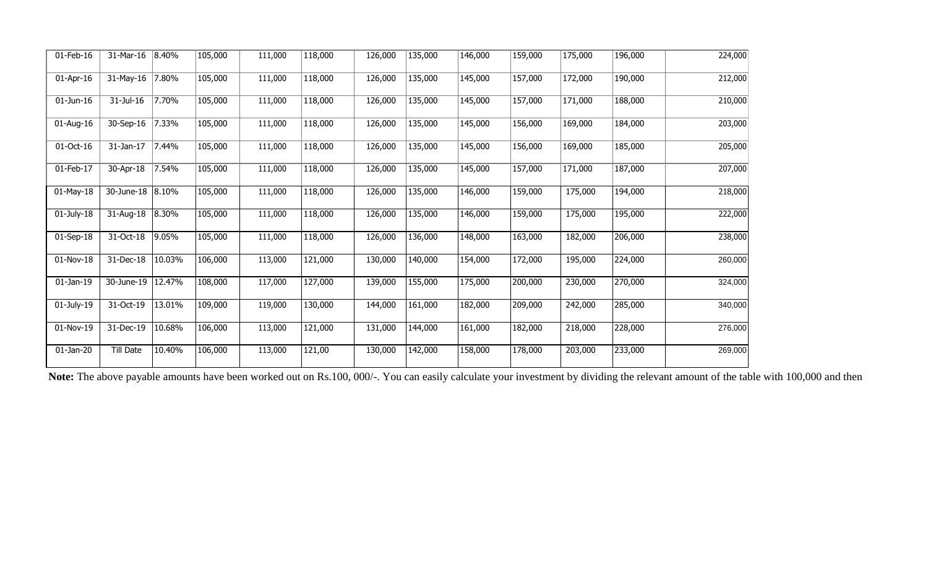| 01-Feb-16     | 31-Mar-16       | $ 8.40\%$ | 105,000 | 111,000 | 118,000 | 126,000 | 135,000 | 146,000 | 159,000 | 175,000 | 196,000 | 224,000 |
|---------------|-----------------|-----------|---------|---------|---------|---------|---------|---------|---------|---------|---------|---------|
| 01-Apr-16     | 31-May-16       | 7.80%     | 105,000 | 111,000 | 118,000 | 126,000 | 135,000 | 145,000 | 157,000 | 172,000 | 190,000 | 212,000 |
| $01$ -Jun-16  | 31-Jul-16       | 7.70%     | 105,000 | 111,000 | 118,000 | 126,000 | 135,000 | 145,000 | 157,000 | 171,000 | 188,000 | 210,000 |
| 01-Aug-16     | 30-Sep-16       | 7.33%     | 105,000 | 111,000 | 118,000 | 126,000 | 135,000 | 145,000 | 156,000 | 169,000 | 184,000 | 203,000 |
| 01-Oct-16     | $31$ -Jan- $17$ | 7.44%     | 105,000 | 111,000 | 118,000 | 126,000 | 135,000 | 145,000 | 156,000 | 169,000 | 185,000 | 205,000 |
| 01-Feb-17     | 30-Apr-18       | 7.54%     | 105,000 | 111,000 | 118,000 | 126,000 | 135,000 | 145,000 | 157,000 | 171,000 | 187,000 | 207,000 |
| $01$ -May-18  | 30-June-18      | 8.10%     | 105,000 | 111,000 | 118,000 | 126,000 | 135,000 | 146,000 | 159,000 | 175,000 | 194,000 | 218,000 |
| $01$ -July-18 | 31-Aug-18       | 8.30%     | 105,000 | 111,000 | 118,000 | 126,000 | 135,000 | 146,000 | 159,000 | 175,000 | 195,000 | 222,000 |
| $01-Sep-18$   | 31-Oct-18       | 9.05%     | 105,000 | 111,000 | 118,000 | 126,000 | 136,000 | 148,000 | 163,000 | 182,000 | 206,000 | 238,000 |
| 01-Nov-18     | 31-Dec-18       | 10.03%    | 106,000 | 113,000 | 121,000 | 130,000 | 140,000 | 154,000 | 172,000 | 195,000 | 224,000 | 260,000 |
| $01$ -Jan-19  | 30-June-19      | 12.47%    | 108,000 | 117,000 | 127,000 | 139,000 | 155,000 | 175,000 | 200,000 | 230,000 | 270,000 | 324,000 |
| 01-July-19    | 31-Oct-19       | 13.01%    | 109,000 | 119,000 | 130,000 | 144,000 | 161,000 | 182,000 | 209,000 | 242,000 | 285,000 | 340,000 |
| 01-Nov-19     | 31-Dec-19       | 10.68%    | 106,000 | 113,000 | 121,000 | 131,000 | 144,000 | 161,000 | 182,000 | 218,000 | 228,000 | 276,000 |
| $01$ -Jan-20  | Till Date       | 10.40%    | 106,000 | 113,000 | 121,00  | 130,000 | 142,000 | 158,000 | 178,000 | 203,000 | 233,000 | 269,000 |

Note: The above payable amounts have been worked out on Rs.100, 000/-. You can easily calculate your investment by dividing the relevant amount of the table with 100,000 and then